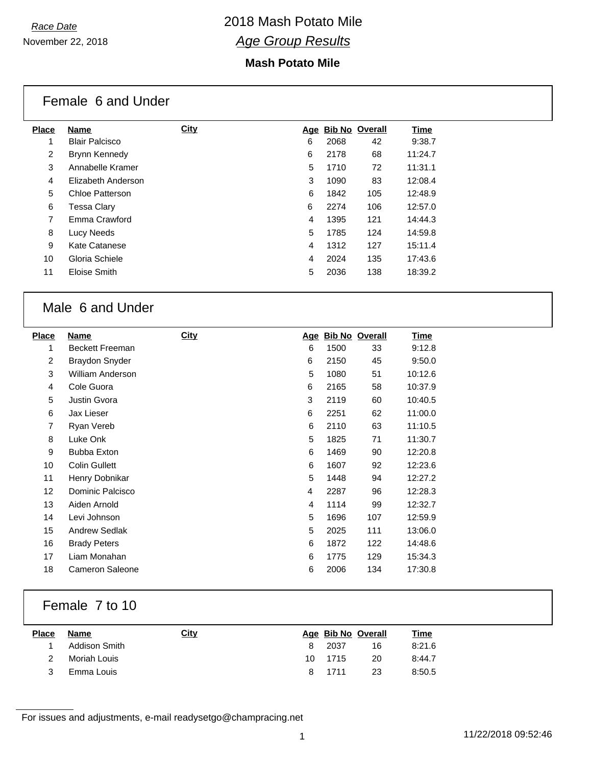### **Mash Potato Mile**

|                | Female 6 and Under    |      |   |      |                    |         |
|----------------|-----------------------|------|---|------|--------------------|---------|
| <b>Place</b>   | <b>Name</b>           | City |   |      | Age Bib No Overall | Time    |
|                | <b>Blair Palcisco</b> |      | 6 | 2068 | 42                 | 9:38.7  |
| $\overline{2}$ | Brynn Kennedy         |      | 6 | 2178 | 68                 | 11:24.7 |
| 3              | Annabelle Kramer      |      | 5 | 1710 | 72                 | 11:31.1 |
| 4              | Elizabeth Anderson    |      | 3 | 1090 | 83                 | 12:08.4 |
| 5              | Chloe Patterson       |      | 6 | 1842 | 105                | 12:48.9 |
| 6              | Tessa Clary           |      | 6 | 2274 | 106                | 12:57.0 |
| 7              | Emma Crawford         |      | 4 | 1395 | 121                | 14:44.3 |
| 8              | Lucy Needs            |      | 5 | 1785 | 124                | 14:59.8 |
| 9              | Kate Catanese         |      | 4 | 1312 | 127                | 15:11.4 |
| 10             | Gloria Schiele        |      | 4 | 2024 | 135                | 17:43.6 |
| 11             | Eloise Smith          |      | 5 | 2036 | 138                | 18:39.2 |

## Male 6 and Under

| <b>Place</b>   | Name                   | <b>City</b> |   |      | Age Bib No Overall | <u>Time</u> |
|----------------|------------------------|-------------|---|------|--------------------|-------------|
| 1              | <b>Beckett Freeman</b> |             | 6 | 1500 | 33                 | 9:12.8      |
| 2              | <b>Braydon Snyder</b>  |             | 6 | 2150 | 45                 | 9:50.0      |
| 3              | William Anderson       |             | 5 | 1080 | 51                 | 10:12.6     |
| $\overline{4}$ | Cole Guora             |             | 6 | 2165 | 58                 | 10:37.9     |
| 5              | Justin Gvora           |             | 3 | 2119 | 60                 | 10:40.5     |
| 6              | Jax Lieser             |             | 6 | 2251 | 62                 | 11:00.0     |
| 7              | Ryan Vereb             |             | 6 | 2110 | 63                 | 11:10.5     |
| 8              | Luke Onk               |             | 5 | 1825 | 71                 | 11:30.7     |
| 9              | <b>Bubba Exton</b>     |             | 6 | 1469 | 90                 | 12:20.8     |
| 10             | <b>Colin Gullett</b>   |             | 6 | 1607 | 92                 | 12:23.6     |
| 11             | Henry Dobnikar         |             | 5 | 1448 | 94                 | 12:27.2     |
| 12             | Dominic Palcisco       |             | 4 | 2287 | 96                 | 12:28.3     |
| 13             | Aiden Arnold           |             | 4 | 1114 | 99                 | 12:32.7     |
| 14             | Levi Johnson           |             | 5 | 1696 | 107                | 12:59.9     |
| 15             | <b>Andrew Sedlak</b>   |             | 5 | 2025 | 111                | 13:06.0     |
| 16             | <b>Brady Peters</b>    |             | 6 | 1872 | 122                | 14:48.6     |
| 17             | Liam Monahan           |             | 6 | 1775 | 129                | 15:34.3     |
| 18             | <b>Cameron Saleone</b> |             | 6 | 2006 | 134                | 17:30.8     |
|                |                        |             |   |      |                    |             |

### Female 7 to 10

| Name          | <u>City</u> |  |                             | <b>Time</b>        |
|---------------|-------------|--|-----------------------------|--------------------|
| Addison Smith |             |  | 16                          | 8:21.6             |
| Moriah Louis  |             |  | 20                          | 8:44.7             |
| Emma Louis    |             |  | 23                          | 8:50.5             |
|               |             |  | 8 2037<br>10 1715<br>8 1711 | Age Bib No Overall |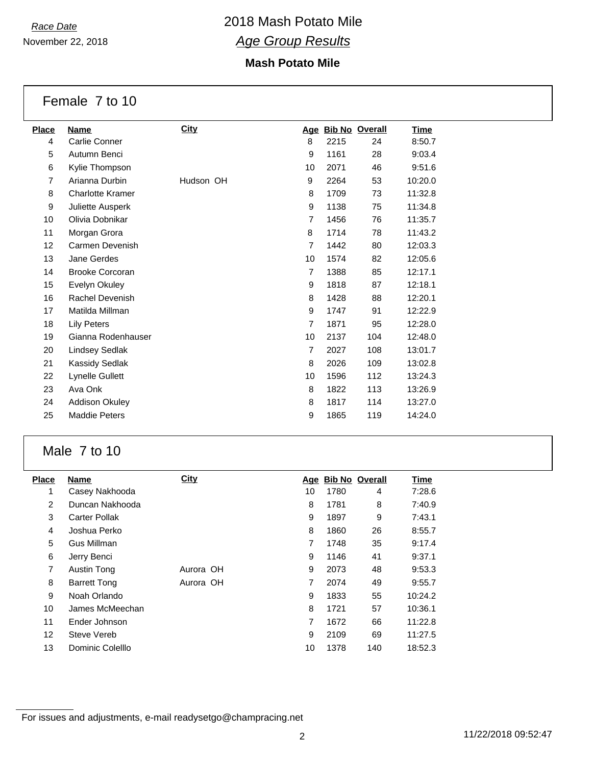November 22, 2018

### **Mash Potato Mile**

Female 7 to 10

| <b>Place</b>      | Name                    | <b>City</b> |                | Age Bib No Overall |     | <u>Time</u> |
|-------------------|-------------------------|-------------|----------------|--------------------|-----|-------------|
| 4                 | Carlie Conner           |             | 8              | 2215               | 24  | 8:50.7      |
| 5                 | Autumn Benci            |             | 9              | 1161               | 28  | 9:03.4      |
| 6                 | Kylie Thompson          |             | 10             | 2071               | 46  | 9:51.6      |
| $\overline{7}$    | Arianna Durbin          | Hudson OH   | 9              | 2264               | 53  | 10:20.0     |
| 8                 | <b>Charlotte Kramer</b> |             | 8              | 1709               | 73  | 11:32.8     |
| 9                 | Juliette Ausperk        |             | 9              | 1138               | 75  | 11:34.8     |
| 10                | Olivia Dobnikar         |             | 7              | 1456               | 76  | 11:35.7     |
| 11                | Morgan Grora            |             | 8              | 1714               | 78  | 11:43.2     |
| $12 \overline{ }$ | Carmen Devenish         |             | $\overline{7}$ | 1442               | 80  | 12:03.3     |
| 13                | Jane Gerdes             |             | 10             | 1574               | 82  | 12:05.6     |
| 14                | <b>Brooke Corcoran</b>  |             | $\overline{7}$ | 1388               | 85  | 12:17.1     |
| 15                | Evelyn Okuley           |             | 9              | 1818               | 87  | 12:18.1     |
| 16                | Rachel Devenish         |             | 8              | 1428               | 88  | 12:20.1     |
| 17                | Matilda Millman         |             | 9              | 1747               | 91  | 12:22.9     |
| 18                | <b>Lily Peters</b>      |             | $\overline{7}$ | 1871               | 95  | 12:28.0     |
| 19                | Gianna Rodenhauser      |             | 10             | 2137               | 104 | 12:48.0     |
| 20                | Lindsey Sedlak          |             | 7              | 2027               | 108 | 13:01.7     |
| 21                | Kassidy Sedlak          |             | 8              | 2026               | 109 | 13:02.8     |
| 22                | Lynelle Gullett         |             | 10             | 1596               | 112 | 13:24.3     |
| 23                | Ava Onk                 |             | 8              | 1822               | 113 | 13:26.9     |
| 24                | Addison Okuley          |             | 8              | 1817               | 114 | 13:27.0     |
| 25                | <b>Maddie Peters</b>    |             | 9              | 1865               | 119 | 14:24.0     |

## Male 7 to 10

| <b>Place</b>   | <b>Name</b>         | City      | Age | <b>Bib No Overall</b> |     | Time    |
|----------------|---------------------|-----------|-----|-----------------------|-----|---------|
| 1              | Casey Nakhooda      |           | 10  | 1780                  | 4   | 7:28.6  |
| 2              | Duncan Nakhooda     |           | 8   | 1781                  | 8   | 7:40.9  |
| 3              | Carter Pollak       |           | 9   | 1897                  | 9   | 7:43.1  |
| $\overline{4}$ | Joshua Perko        |           | 8   | 1860                  | 26  | 8:55.7  |
| 5              | Gus Millman         |           | 7   | 1748                  | 35  | 9:17.4  |
| 6              | Jerry Benci         |           | 9   | 1146                  | 41  | 9:37.1  |
| 7              | Austin Tong         | Aurora OH | 9   | 2073                  | 48  | 9:53.3  |
| 8              | <b>Barrett Tong</b> | Aurora OH | 7   | 2074                  | 49  | 9:55.7  |
| 9              | Noah Orlando        |           | 9   | 1833                  | 55  | 10:24.2 |
| 10             | James McMeechan     |           | 8   | 1721                  | 57  | 10:36.1 |
| 11             | Ender Johnson       |           | 7   | 1672                  | 66  | 11:22.8 |
| 12             | Steve Vereb         |           | 9   | 2109                  | 69  | 11:27.5 |
| 13             | Dominic Colelllo    |           | 10  | 1378                  | 140 | 18:52.3 |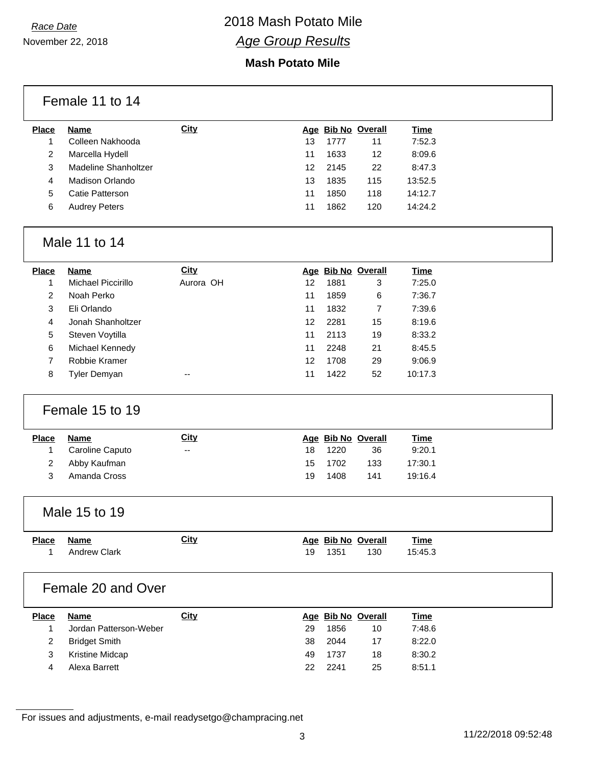November 22, 2018

### **Mash Potato Mile**

|                | Female 11 to 14        |             |    |      |                    |             |  |
|----------------|------------------------|-------------|----|------|--------------------|-------------|--|
| <b>Place</b>   | <b>Name</b>            | <b>City</b> |    |      | Age Bib No Overall | <b>Time</b> |  |
| $\mathbf{1}$   | Colleen Nakhooda       |             | 13 | 1777 | 11                 | 7:52.3      |  |
| 2              | Marcella Hydell        |             | 11 | 1633 | 12                 | 8:09.6      |  |
| 3              | Madeline Shanholtzer   |             | 12 | 2145 | 22                 | 8:47.3      |  |
| 4              | Madison Orlando        |             | 13 | 1835 | 115                | 13:52.5     |  |
| 5              | Catie Patterson        |             | 11 | 1850 | 118                | 14:12.7     |  |
| 6              | <b>Audrey Peters</b>   |             | 11 | 1862 | 120                | 14:24.2     |  |
|                | Male 11 to 14          |             |    |      |                    |             |  |
| <b>Place</b>   | <b>Name</b>            | <b>City</b> |    |      | Age Bib No Overall | <b>Time</b> |  |
| $\mathbf{1}$   | Michael Piccirillo     | Aurora OH   | 12 | 1881 | 3                  | 7:25.0      |  |
| 2              | Noah Perko             |             | 11 | 1859 | 6                  | 7:36.7      |  |
| 3              | Eli Orlando            |             | 11 | 1832 | $\overline{7}$     | 7:39.6      |  |
| 4              | Jonah Shanholtzer      |             | 12 | 2281 | 15                 | 8:19.6      |  |
| 5              | Steven Voytilla        |             | 11 | 2113 | 19                 | 8:33.2      |  |
| 6              | Michael Kennedy        |             | 11 | 2248 | 21                 | 8:45.5      |  |
| 7              | Robbie Kramer          |             | 12 | 1708 | 29                 | 9:06.9      |  |
| 8              | Tyler Demyan           |             | 11 | 1422 | 52                 | 10:17.3     |  |
|                | Female 15 to 19        |             |    |      |                    |             |  |
| <b>Place</b>   | <b>Name</b>            | <b>City</b> |    |      | Age Bib No Overall | <b>Time</b> |  |
| 1              | Caroline Caputo        | --          | 18 | 1220 | 36                 | 9:20.1      |  |
| 2              | Abby Kaufman           |             | 15 | 1702 | 133                | 17:30.1     |  |
| 3              | Amanda Cross           |             | 19 | 1408 | 141                | 19:16.4     |  |
|                | Male 15 to 19          |             |    |      |                    |             |  |
| <b>Place</b>   | <b>Name</b>            | <b>City</b> |    |      | Age Bib No Overall | <b>Time</b> |  |
| 1              | <b>Andrew Clark</b>    |             | 19 | 1351 | 130                | 15:45.3     |  |
|                | Female 20 and Over     |             |    |      |                    |             |  |
| <b>Place</b>   | <b>Name</b>            | <b>City</b> |    |      | Age Bib No Overall | <b>Time</b> |  |
| 1              | Jordan Patterson-Weber |             | 29 | 1856 | 10                 | 7:48.6      |  |
| $\overline{c}$ | <b>Bridget Smith</b>   |             | 38 | 2044 | 17                 | 8:22.0      |  |
| 3              | Kristine Midcap        |             | 49 | 1737 | 18                 | 8:30.2      |  |
| 4              | Alexa Barrett          |             | 22 | 2241 | 25                 | 8:51.1      |  |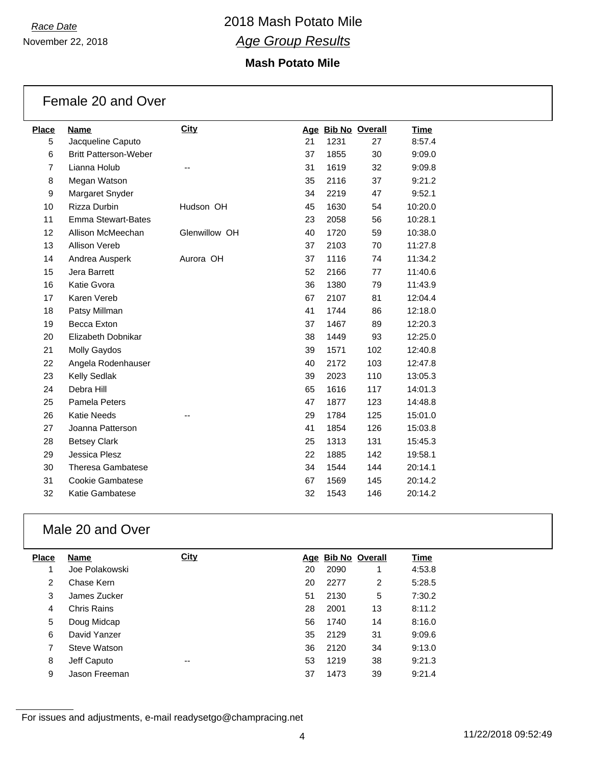November 22, 2018

### **Mash Potato Mile**

| Female 20 and Over |  |  |  |
|--------------------|--|--|--|
|--------------------|--|--|--|

| <b>Place</b>   | <b>Name</b>                  | <b>City</b>   |    | Age Bib No Overall |     | <b>Time</b> |
|----------------|------------------------------|---------------|----|--------------------|-----|-------------|
| 5              | Jacqueline Caputo            |               | 21 | 1231               | 27  | 8:57.4      |
| 6              | <b>Britt Patterson-Weber</b> |               | 37 | 1855               | 30  | 9:09.0      |
| $\overline{7}$ | Lianna Holub                 |               | 31 | 1619               | 32  | 9:09.8      |
| 8              | Megan Watson                 |               | 35 | 2116               | 37  | 9:21.2      |
| 9              | Margaret Snyder              |               | 34 | 2219               | 47  | 9:52.1      |
| 10             | Rizza Durbin                 | Hudson OH     | 45 | 1630               | 54  | 10:20.0     |
| 11             | <b>Emma Stewart-Bates</b>    |               | 23 | 2058               | 56  | 10:28.1     |
| 12             | Allison McMeechan            | Glenwillow OH | 40 | 1720               | 59  | 10:38.0     |
| 13             | <b>Allison Vereb</b>         |               | 37 | 2103               | 70  | 11:27.8     |
| 14             | Andrea Ausperk               | Aurora OH     | 37 | 1116               | 74  | 11:34.2     |
| 15             | Jera Barrett                 |               | 52 | 2166               | 77  | 11:40.6     |
| 16             | Katie Gvora                  |               | 36 | 1380               | 79  | 11:43.9     |
| 17             | Karen Vereb                  |               | 67 | 2107               | 81  | 12:04.4     |
| 18             | Patsy Millman                |               | 41 | 1744               | 86  | 12:18.0     |
| 19             | Becca Exton                  |               | 37 | 1467               | 89  | 12:20.3     |
| 20             | Elizabeth Dobnikar           |               | 38 | 1449               | 93  | 12:25.0     |
| 21             | <b>Molly Gaydos</b>          |               | 39 | 1571               | 102 | 12:40.8     |
| 22             | Angela Rodenhauser           |               | 40 | 2172               | 103 | 12:47.8     |
| 23             | Kelly Sedlak                 |               | 39 | 2023               | 110 | 13:05.3     |
| 24             | Debra Hill                   |               | 65 | 1616               | 117 | 14:01.3     |
| 25             | Pamela Peters                |               | 47 | 1877               | 123 | 14:48.8     |
| 26             | <b>Katie Needs</b>           |               | 29 | 1784               | 125 | 15:01.0     |
| 27             | Joanna Patterson             |               | 41 | 1854               | 126 | 15:03.8     |
| 28             | <b>Betsey Clark</b>          |               | 25 | 1313               | 131 | 15:45.3     |
| 29             | Jessica Plesz                |               | 22 | 1885               | 142 | 19:58.1     |
| 30             | <b>Theresa Gambatese</b>     |               | 34 | 1544               | 144 | 20:14.1     |
| 31             | Cookie Gambatese             |               | 67 | 1569               | 145 | 20:14.2     |
| 32             | <b>Katie Gambatese</b>       |               | 32 | 1543               | 146 | 20:14.2     |
|                |                              |               |    |                    |     |             |

## Male 20 and Over

| <b>Place</b> | Name           | <b>City</b> |    | Age Bib No Overall |    | <b>Time</b> |
|--------------|----------------|-------------|----|--------------------|----|-------------|
|              | Joe Polakowski |             | 20 | 2090               |    | 4:53.8      |
| 2            | Chase Kern     |             | 20 | 2277               | 2  | 5:28.5      |
| 3            | James Zucker   |             | 51 | 2130               | 5  | 7:30.2      |
| 4            | Chris Rains    |             | 28 | 2001               | 13 | 8:11.2      |
| 5            | Doug Midcap    |             | 56 | 1740               | 14 | 8:16.0      |
| 6            | David Yanzer   |             | 35 | 2129               | 31 | 9:09.6      |
|              | Steve Watson   |             | 36 | 2120               | 34 | 9:13.0      |
| 8            | Jeff Caputo    | --          | 53 | 1219               | 38 | 9:21.3      |
| 9            | Jason Freeman  |             | 37 | 1473               | 39 | 9:21.4      |